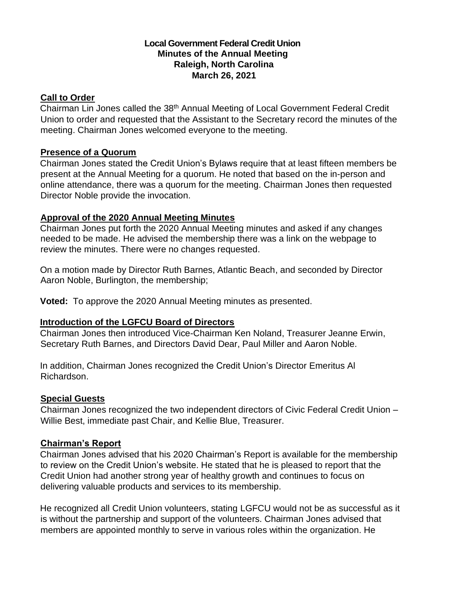## **Local Government Federal Credit Union Minutes of the Annual Meeting Raleigh, North Carolina March 26, 2021**

## **Call to Order**

Chairman Lin Jones called the 38<sup>th</sup> Annual Meeting of Local Government Federal Credit Union to order and requested that the Assistant to the Secretary record the minutes of the meeting. Chairman Jones welcomed everyone to the meeting.

## **Presence of a Quorum**

Chairman Jones stated the Credit Union's Bylaws require that at least fifteen members be present at the Annual Meeting for a quorum. He noted that based on the in-person and online attendance, there was a quorum for the meeting. Chairman Jones then requested Director Noble provide the invocation.

## **Approval of the 2020 Annual Meeting Minutes**

Chairman Jones put forth the 2020 Annual Meeting minutes and asked if any changes needed to be made. He advised the membership there was a link on the webpage to review the minutes. There were no changes requested.

On a motion made by Director Ruth Barnes, Atlantic Beach, and seconded by Director Aaron Noble, Burlington, the membership;

**Voted:** To approve the 2020 Annual Meeting minutes as presented.

# **Introduction of the LGFCU Board of Directors**

Chairman Jones then introduced Vice-Chairman Ken Noland, Treasurer Jeanne Erwin, Secretary Ruth Barnes, and Directors David Dear, Paul Miller and Aaron Noble.

In addition, Chairman Jones recognized the Credit Union's Director Emeritus Al Richardson.

# **Special Guests**

Chairman Jones recognized the two independent directors of Civic Federal Credit Union – Willie Best, immediate past Chair, and Kellie Blue, Treasurer.

#### **Chairman's Report**

Chairman Jones advised that his 2020 Chairman's Report is available for the membership to review on the Credit Union's website. He stated that he is pleased to report that the Credit Union had another strong year of healthy growth and continues to focus on delivering valuable products and services to its membership.

He recognized all Credit Union volunteers, stating LGFCU would not be as successful as it is without the partnership and support of the volunteers. Chairman Jones advised that members are appointed monthly to serve in various roles within the organization. He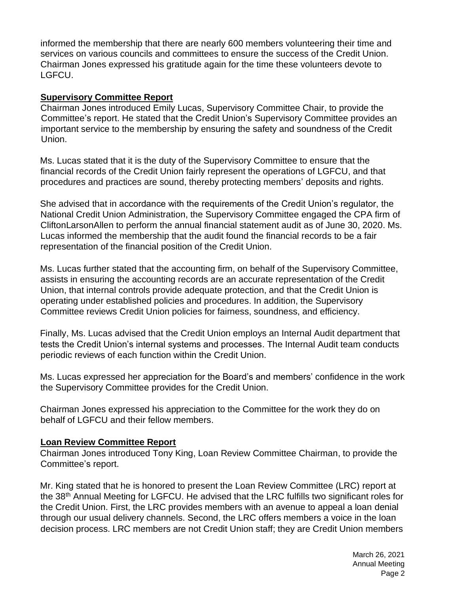informed the membership that there are nearly 600 members volunteering their time and services on various councils and committees to ensure the success of the Credit Union. Chairman Jones expressed his gratitude again for the time these volunteers devote to LGFCU.

## **Supervisory Committee Report**

Chairman Jones introduced Emily Lucas, Supervisory Committee Chair, to provide the Committee's report. He stated that the Credit Union's Supervisory Committee provides an important service to the membership by ensuring the safety and soundness of the Credit Union.

Ms. Lucas stated that it is the duty of the Supervisory Committee to ensure that the financial records of the Credit Union fairly represent the operations of LGFCU, and that procedures and practices are sound, thereby protecting members' deposits and rights.

She advised that in accordance with the requirements of the Credit Union's regulator, the National Credit Union Administration, the Supervisory Committee engaged the CPA firm of CliftonLarsonAllen to perform the annual financial statement audit as of June 30, 2020. Ms. Lucas informed the membership that the audit found the financial records to be a fair representation of the financial position of the Credit Union.

Ms. Lucas further stated that the accounting firm, on behalf of the Supervisory Committee, assists in ensuring the accounting records are an accurate representation of the Credit Union, that internal controls provide adequate protection, and that the Credit Union is operating under established policies and procedures. In addition, the Supervisory Committee reviews Credit Union policies for fairness, soundness, and efficiency.

Finally, Ms. Lucas advised that the Credit Union employs an Internal Audit department that tests the Credit Union's internal systems and processes. The Internal Audit team conducts periodic reviews of each function within the Credit Union.

Ms. Lucas expressed her appreciation for the Board's and members' confidence in the work the Supervisory Committee provides for the Credit Union.

Chairman Jones expressed his appreciation to the Committee for the work they do on behalf of LGFCU and their fellow members.

#### **Loan Review Committee Report**

Chairman Jones introduced Tony King, Loan Review Committee Chairman, to provide the Committee's report.

Mr. King stated that he is honored to present the Loan Review Committee (LRC) report at the 38<sup>th</sup> Annual Meeting for LGFCU. He advised that the LRC fulfills two significant roles for the Credit Union. First, the LRC provides members with an avenue to appeal a loan denial through our usual delivery channels. Second, the LRC offers members a voice in the loan decision process. LRC members are not Credit Union staff; they are Credit Union members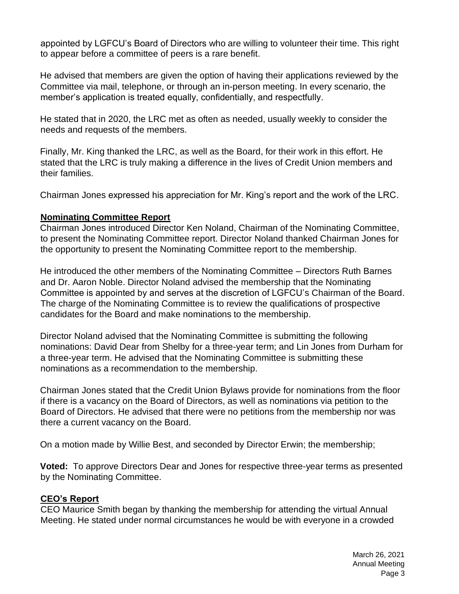appointed by LGFCU's Board of Directors who are willing to volunteer their time. This right to appear before a committee of peers is a rare benefit.

He advised that members are given the option of having their applications reviewed by the Committee via mail, telephone, or through an in-person meeting. In every scenario, the member's application is treated equally, confidentially, and respectfully.

He stated that in 2020, the LRC met as often as needed, usually weekly to consider the needs and requests of the members.

Finally, Mr. King thanked the LRC, as well as the Board, for their work in this effort. He stated that the LRC is truly making a difference in the lives of Credit Union members and their families.

Chairman Jones expressed his appreciation for Mr. King's report and the work of the LRC.

## **Nominating Committee Report**

Chairman Jones introduced Director Ken Noland, Chairman of the Nominating Committee, to present the Nominating Committee report. Director Noland thanked Chairman Jones for the opportunity to present the Nominating Committee report to the membership.

He introduced the other members of the Nominating Committee – Directors Ruth Barnes and Dr. Aaron Noble. Director Noland advised the membership that the Nominating Committee is appointed by and serves at the discretion of LGFCU's Chairman of the Board. The charge of the Nominating Committee is to review the qualifications of prospective candidates for the Board and make nominations to the membership.

Director Noland advised that the Nominating Committee is submitting the following nominations: David Dear from Shelby for a three-year term; and Lin Jones from Durham for a three-year term. He advised that the Nominating Committee is submitting these nominations as a recommendation to the membership.

Chairman Jones stated that the Credit Union Bylaws provide for nominations from the floor if there is a vacancy on the Board of Directors, as well as nominations via petition to the Board of Directors. He advised that there were no petitions from the membership nor was there a current vacancy on the Board.

On a motion made by Willie Best, and seconded by Director Erwin; the membership;

**Voted:** To approve Directors Dear and Jones for respective three-year terms as presented by the Nominating Committee.

# **CEO's Report**

CEO Maurice Smith began by thanking the membership for attending the virtual Annual Meeting. He stated under normal circumstances he would be with everyone in a crowded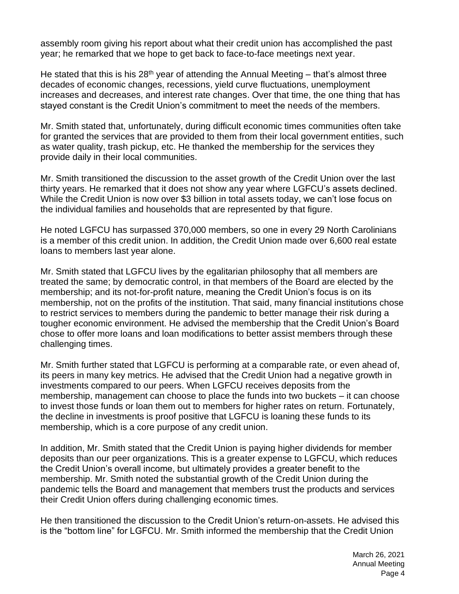assembly room giving his report about what their credit union has accomplished the past year; he remarked that we hope to get back to face-to-face meetings next year.

He stated that this is his 28<sup>th</sup> year of attending the Annual Meeting – that's almost three decades of economic changes, recessions, yield curve fluctuations, unemployment increases and decreases, and interest rate changes. Over that time, the one thing that has stayed constant is the Credit Union's commitment to meet the needs of the members.

Mr. Smith stated that, unfortunately, during difficult economic times communities often take for granted the services that are provided to them from their local government entities, such as water quality, trash pickup, etc. He thanked the membership for the services they provide daily in their local communities.

Mr. Smith transitioned the discussion to the asset growth of the Credit Union over the last thirty years. He remarked that it does not show any year where LGFCU's assets declined. While the Credit Union is now over \$3 billion in total assets today, we can't lose focus on the individual families and households that are represented by that figure.

He noted LGFCU has surpassed 370,000 members, so one in every 29 North Carolinians is a member of this credit union. In addition, the Credit Union made over 6,600 real estate loans to members last year alone.

Mr. Smith stated that LGFCU lives by the egalitarian philosophy that all members are treated the same; by democratic control, in that members of the Board are elected by the membership; and its not-for-profit nature, meaning the Credit Union's focus is on its membership, not on the profits of the institution. That said, many financial institutions chose to restrict services to members during the pandemic to better manage their risk during a tougher economic environment. He advised the membership that the Credit Union's Board chose to offer more loans and loan modifications to better assist members through these challenging times.

Mr. Smith further stated that LGFCU is performing at a comparable rate, or even ahead of, its peers in many key metrics. He advised that the Credit Union had a negative growth in investments compared to our peers. When LGFCU receives deposits from the membership, management can choose to place the funds into two buckets – it can choose to invest those funds or loan them out to members for higher rates on return. Fortunately, the decline in investments is proof positive that LGFCU is loaning these funds to its membership, which is a core purpose of any credit union.

In addition, Mr. Smith stated that the Credit Union is paying higher dividends for member deposits than our peer organizations. This is a greater expense to LGFCU, which reduces the Credit Union's overall income, but ultimately provides a greater benefit to the membership. Mr. Smith noted the substantial growth of the Credit Union during the pandemic tells the Board and management that members trust the products and services their Credit Union offers during challenging economic times.

He then transitioned the discussion to the Credit Union's return-on-assets. He advised this is the "bottom line" for LGFCU. Mr. Smith informed the membership that the Credit Union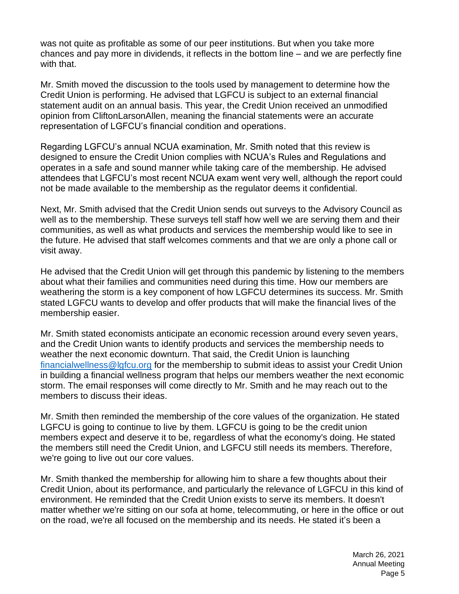was not quite as profitable as some of our peer institutions. But when you take more chances and pay more in dividends, it reflects in the bottom line – and we are perfectly fine with that.

Mr. Smith moved the discussion to the tools used by management to determine how the Credit Union is performing. He advised that LGFCU is subject to an external financial statement audit on an annual basis. This year, the Credit Union received an unmodified opinion from CliftonLarsonAllen, meaning the financial statements were an accurate representation of LGFCU's financial condition and operations.

Regarding LGFCU's annual NCUA examination, Mr. Smith noted that this review is designed to ensure the Credit Union complies with NCUA's Rules and Regulations and operates in a safe and sound manner while taking care of the membership. He advised attendees that LGFCU's most recent NCUA exam went very well, although the report could not be made available to the membership as the regulator deems it confidential.

Next, Mr. Smith advised that the Credit Union sends out surveys to the Advisory Council as well as to the membership. These surveys tell staff how well we are serving them and their communities, as well as what products and services the membership would like to see in the future. He advised that staff welcomes comments and that we are only a phone call or visit away.

He advised that the Credit Union will get through this pandemic by listening to the members about what their families and communities need during this time. How our members are weathering the storm is a key component of how LGFCU determines its success. Mr. Smith stated LGFCU wants to develop and offer products that will make the financial lives of the membership easier.

Mr. Smith stated economists anticipate an economic recession around every seven years, and the Credit Union wants to identify products and services the membership needs to weather the next economic downturn. That said, the Credit Union is launching [financialwellness@lgfcu.org](mailto:financialwellness@lgfcu.org) for the membership to submit ideas to assist your Credit Union in building a financial wellness program that helps our members weather the next economic storm. The email responses will come directly to Mr. Smith and he may reach out to the members to discuss their ideas.

Mr. Smith then reminded the membership of the core values of the organization. He stated LGFCU is going to continue to live by them. LGFCU is going to be the credit union members expect and deserve it to be, regardless of what the economy's doing. He stated the members still need the Credit Union, and LGFCU still needs its members. Therefore, we're going to live out our core values.

Mr. Smith thanked the membership for allowing him to share a few thoughts about their Credit Union, about its performance, and particularly the relevance of LGFCU in this kind of environment. He reminded that the Credit Union exists to serve its members. It doesn't matter whether we're sitting on our sofa at home, telecommuting, or here in the office or out on the road, we're all focused on the membership and its needs. He stated it's been a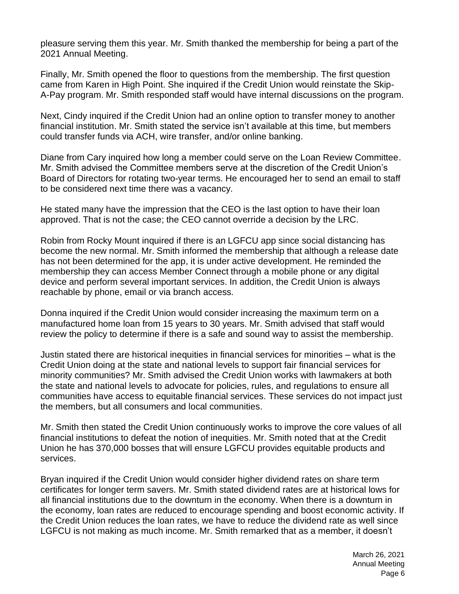pleasure serving them this year. Mr. Smith thanked the membership for being a part of the 2021 Annual Meeting.

Finally, Mr. Smith opened the floor to questions from the membership. The first question came from Karen in High Point. She inquired if the Credit Union would reinstate the Skip-A-Pay program. Mr. Smith responded staff would have internal discussions on the program.

Next, Cindy inquired if the Credit Union had an online option to transfer money to another financial institution. Mr. Smith stated the service isn't available at this time, but members could transfer funds via ACH, wire transfer, and/or online banking.

Diane from Cary inquired how long a member could serve on the Loan Review Committee. Mr. Smith advised the Committee members serve at the discretion of the Credit Union's Board of Directors for rotating two-year terms. He encouraged her to send an email to staff to be considered next time there was a vacancy.

He stated many have the impression that the CEO is the last option to have their loan approved. That is not the case; the CEO cannot override a decision by the LRC.

Robin from Rocky Mount inquired if there is an LGFCU app since social distancing has become the new normal. Mr. Smith informed the membership that although a release date has not been determined for the app, it is under active development. He reminded the membership they can access Member Connect through a mobile phone or any digital device and perform several important services. In addition, the Credit Union is always reachable by phone, email or via branch access.

Donna inquired if the Credit Union would consider increasing the maximum term on a manufactured home loan from 15 years to 30 years. Mr. Smith advised that staff would review the policy to determine if there is a safe and sound way to assist the membership.

Justin stated there are historical inequities in financial services for minorities – what is the Credit Union doing at the state and national levels to support fair financial services for minority communities? Mr. Smith advised the Credit Union works with lawmakers at both the state and national levels to advocate for policies, rules, and regulations to ensure all communities have access to equitable financial services. These services do not impact just the members, but all consumers and local communities.

Mr. Smith then stated the Credit Union continuously works to improve the core values of all financial institutions to defeat the notion of inequities. Mr. Smith noted that at the Credit Union he has 370,000 bosses that will ensure LGFCU provides equitable products and services.

Bryan inquired if the Credit Union would consider higher dividend rates on share term certificates for longer term savers. Mr. Smith stated dividend rates are at historical lows for all financial institutions due to the downturn in the economy. When there is a downturn in the economy, loan rates are reduced to encourage spending and boost economic activity. If the Credit Union reduces the loan rates, we have to reduce the dividend rate as well since LGFCU is not making as much income. Mr. Smith remarked that as a member, it doesn't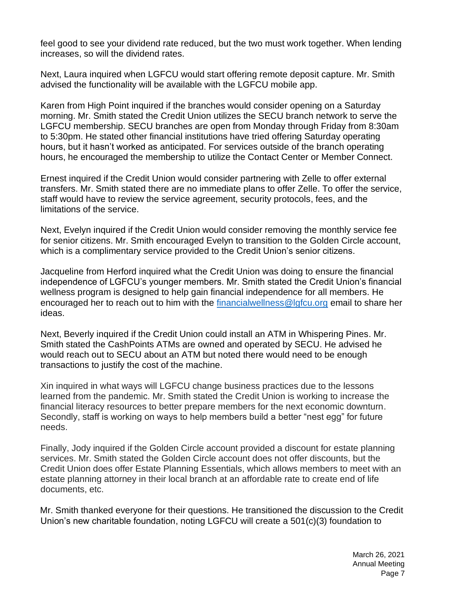feel good to see your dividend rate reduced, but the two must work together. When lending increases, so will the dividend rates.

Next, Laura inquired when LGFCU would start offering remote deposit capture. Mr. Smith advised the functionality will be available with the LGFCU mobile app.

Karen from High Point inquired if the branches would consider opening on a Saturday morning. Mr. Smith stated the Credit Union utilizes the SECU branch network to serve the LGFCU membership. SECU branches are open from Monday through Friday from 8:30am to 5:30pm. He stated other financial institutions have tried offering Saturday operating hours, but it hasn't worked as anticipated. For services outside of the branch operating hours, he encouraged the membership to utilize the Contact Center or Member Connect.

Ernest inquired if the Credit Union would consider partnering with Zelle to offer external transfers. Mr. Smith stated there are no immediate plans to offer Zelle. To offer the service, staff would have to review the service agreement, security protocols, fees, and the limitations of the service.

Next, Evelyn inquired if the Credit Union would consider removing the monthly service fee for senior citizens. Mr. Smith encouraged Evelyn to transition to the Golden Circle account, which is a complimentary service provided to the Credit Union's senior citizens.

Jacqueline from Herford inquired what the Credit Union was doing to ensure the financial independence of LGFCU's younger members. Mr. Smith stated the Credit Union's financial wellness program is designed to help gain financial independence for all members. He encouraged her to reach out to him with the [financialwellness@lgfcu.org](mailto:financialwellness@lgfcu.org) email to share her ideas.

Next, Beverly inquired if the Credit Union could install an ATM in Whispering Pines. Mr. Smith stated the CashPoints ATMs are owned and operated by SECU. He advised he would reach out to SECU about an ATM but noted there would need to be enough transactions to justify the cost of the machine.

Xin inquired in what ways will LGFCU change business practices due to the lessons learned from the pandemic. Mr. Smith stated the Credit Union is working to increase the financial literacy resources to better prepare members for the next economic downturn. Secondly, staff is working on ways to help members build a better "nest egg" for future needs.

Finally, Jody inquired if the Golden Circle account provided a discount for estate planning services. Mr. Smith stated the Golden Circle account does not offer discounts, but the Credit Union does offer Estate Planning Essentials, which allows members to meet with an estate planning attorney in their local branch at an affordable rate to create end of life documents, etc.

Mr. Smith thanked everyone for their questions. He transitioned the discussion to the Credit Union's new charitable foundation, noting LGFCU will create a 501(c)(3) foundation to